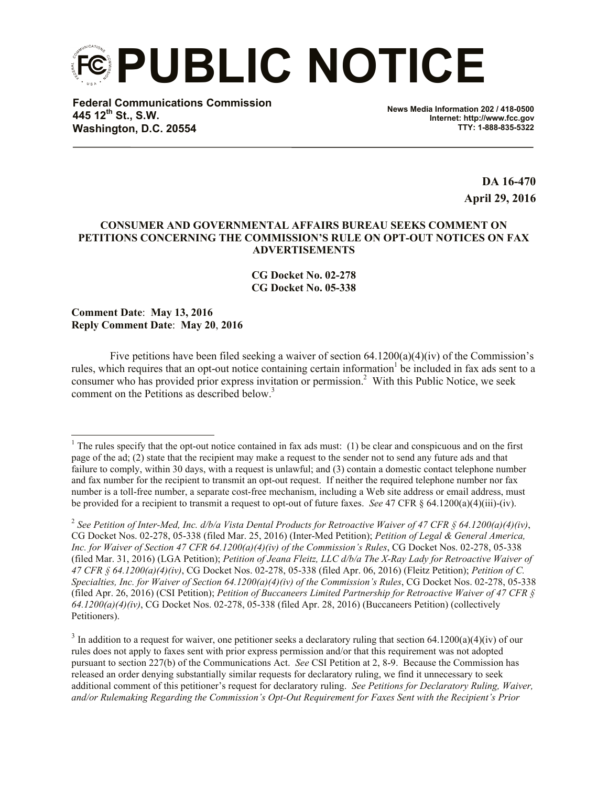**PUBLIC NOTICE**

**Federal Communications Commission 445 12th St., S.W. Washington, D.C. 20554**

**News Media Information 202 / 418-0500 Internet: http://www.fcc.gov TTY: 1-888-835-5322**

> **DA 16-470 April 29, 2016**

## **CONSUMER AND GOVERNMENTAL AFFAIRS BUREAU SEEKS COMMENT ON PETITIONS CONCERNING THE COMMISSION'S RULE ON OPT-OUT NOTICES ON FAX ADVERTISEMENTS**

**CG Docket No. 02-278 CG Docket No. 05-338**

**Comment Date**: **May 13, 2016 Reply Comment Date**: **May 20**, **2016**

l

Five petitions have been filed seeking a waiver of section 64.1200(a)(4)(iv) of the Commission's rules, which requires that an opt-out notice containing certain information be included in fax ads sent to a consumer who has provided prior express invitation or permission.<sup>2</sup> With this Public Notice, we seek comment on the Petitions as described below.<sup>3</sup>

 $1$ <sup>1</sup> The rules specify that the opt-out notice contained in fax ads must: (1) be clear and conspicuous and on the first page of the ad; (2) state that the recipient may make a request to the sender not to send any future ads and that failure to comply, within 30 days, with a request is unlawful; and (3) contain a domestic contact telephone number and fax number for the recipient to transmit an opt-out request. If neither the required telephone number nor fax number is a toll-free number, a separate cost-free mechanism, including a Web site address or email address, must be provided for a recipient to transmit a request to opt-out of future faxes. *See* 47 CFR § 64.1200(a)(4)(iii)-(iv).

<sup>2</sup> *See Petition of Inter-Med, Inc. d/b/a Vista Dental Products for Retroactive Waiver of 47 CFR § 64.1200(a)(4)(iv)*, CG Docket Nos. 02-278, 05-338 (filed Mar. 25, 2016) (Inter-Med Petition); *Petition of Legal & General America, Inc. for Waiver of Section 47 CFR 64.1200(a)(4)(iv) of the Commission's Rules*, CG Docket Nos. 02-278, 05-338 (filed Mar. 31, 2016) (LGA Petition); *Petition of Jeana Fleitz, LLC d/b/a The X-Ray Lady for Retroactive Waiver of 47 CFR § 64.1200(a)(4)(iv)*, CG Docket Nos. 02-278, 05-338 (filed Apr. 06, 2016) (Fleitz Petition); *Petition of C. Specialties, Inc. for Waiver of Section 64.1200(a)(4)(iv) of the Commission's Rules*, CG Docket Nos. 02-278, 05-338 (filed Apr. 26, 2016) (CSI Petition); *Petition of Buccaneers Limited Partnership for Retroactive Waiver of 47 CFR § 64.1200(a)(4)(iv)*, CG Docket Nos. 02-278, 05-338 (filed Apr. 28, 2016) (Buccaneers Petition) (collectively Petitioners).

<sup>&</sup>lt;sup>3</sup> In addition to a request for waiver, one petitioner seeks a declaratory ruling that section 64.1200(a)(4)(iv) of our rules does not apply to faxes sent with prior express permission and/or that this requirement was not adopted pursuant to section 227(b) of the Communications Act. *See* CSI Petition at 2, 8-9. Because the Commission has released an order denying substantially similar requests for declaratory ruling, we find it unnecessary to seek additional comment of this petitioner's request for declaratory ruling. *See Petitions for Declaratory Ruling, Waiver, and/or Rulemaking Regarding the Commission's Opt-Out Requirement for Faxes Sent with the Recipient's Prior*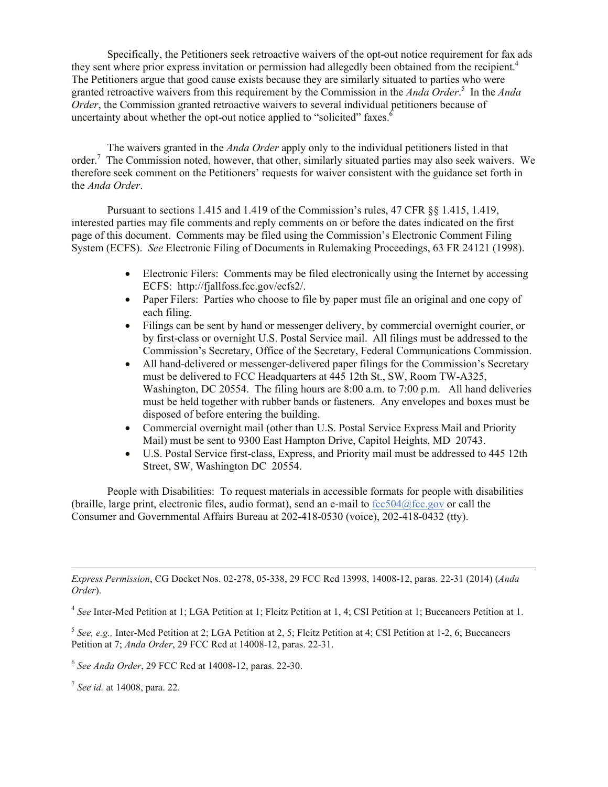Specifically, the Petitioners seek retroactive waivers of the opt-out notice requirement for fax ads they sent where prior express invitation or permission had allegedly been obtained from the recipient.<sup>4</sup> The Petitioners argue that good cause exists because they are similarly situated to parties who were granted retroactive waivers from this requirement by the Commission in the *Anda Order*. 5 In the *Anda Order*, the Commission granted retroactive waivers to several individual petitioners because of uncertainty about whether the opt-out notice applied to "solicited" faxes.<sup>6</sup>

The waivers granted in the *Anda Order* apply only to the individual petitioners listed in that order.<sup>7</sup> The Commission noted, however, that other, similarly situated parties may also seek waivers. We therefore seek comment on the Petitioners' requests for waiver consistent with the guidance set forth in the *Anda Order*.

Pursuant to sections 1.415 and 1.419 of the Commission's rules, 47 CFR §§ 1.415, 1.419, interested parties may file comments and reply comments on or before the dates indicated on the first page of this document. Comments may be filed using the Commission's Electronic Comment Filing System (ECFS). *See* Electronic Filing of Documents in Rulemaking Proceedings, 63 FR 24121 (1998).

- Electronic Filers: Comments may be filed electronically using the Internet by accessing ECFS: http://fjallfoss.fcc.gov/ecfs2/.
- Paper Filers: Parties who choose to file by paper must file an original and one copy of each filing.
- Filings can be sent by hand or messenger delivery, by commercial overnight courier, or by first-class or overnight U.S. Postal Service mail. All filings must be addressed to the Commission's Secretary, Office of the Secretary, Federal Communications Commission.
- All hand-delivered or messenger-delivered paper filings for the Commission's Secretary must be delivered to FCC Headquarters at 445 12th St., SW, Room TW-A325, Washington, DC 20554. The filing hours are 8:00 a.m. to 7:00 p.m. All hand deliveries must be held together with rubber bands or fasteners. Any envelopes and boxes must be disposed of before entering the building.
- Commercial overnight mail (other than U.S. Postal Service Express Mail and Priority Mail) must be sent to 9300 East Hampton Drive, Capitol Heights, MD 20743.
- U.S. Postal Service first-class, Express, and Priority mail must be addressed to 445 12th Street, SW, Washington DC 20554.

People with Disabilities: To request materials in accessible formats for people with disabilities (braille, large print, electronic files, audio format), send an e-mail to  $fcc504@$ fcc.gov or call the Consumer and Governmental Affairs Bureau at 202-418-0530 (voice), 202-418-0432 (tty).

*Express Permission*, CG Docket Nos. 02-278, 05-338, 29 FCC Rcd 13998, 14008-12, paras. 22-31 (2014) (*Anda Order*).

4 *See* Inter-Med Petition at 1; LGA Petition at 1; Fleitz Petition at 1, 4; CSI Petition at 1; Buccaneers Petition at 1.

5 *See, e.g.,* Inter-Med Petition at 2; LGA Petition at 2, 5; Fleitz Petition at 4; CSI Petition at 1-2, 6; Buccaneers Petition at 7; *Anda Order*, 29 FCC Rcd at 14008-12, paras. 22-31.

6 *See Anda Order*, 29 FCC Rcd at 14008-12, paras. 22-30.

7 *See id.* at 14008, para. 22.

l